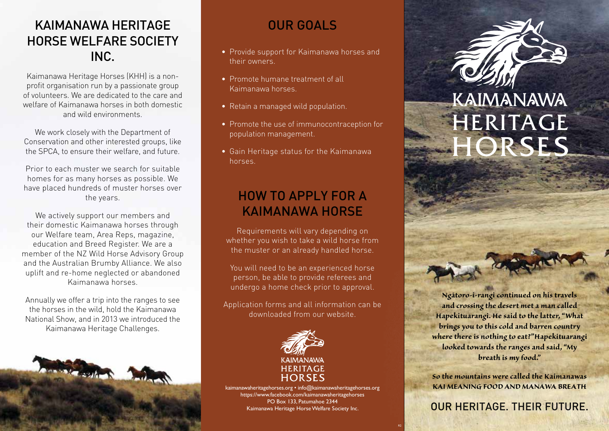# KAIMANAWA HERITAGE HORSE WELFARE SOCIETY INC.

Kaimanawa Heritage Horses (KHH) is a nonprofit organisation run by a passionate group of volunteers. We are dedicated to the care and welfare of Kaimanawa horses in both domestic and wild environments.

We work closely with the Department of Conservation and other interested groups, like the SPCA, to ensure their welfare, and future.

Prior to each muster we search for suitable homes for as many horses as possible. We have placed hundreds of muster horses over the years.

We actively support our members and their domestic Kaimanawa horses through our Welfare team, Area Reps, magazine, education and Breed Register. We are a member of the NZ Wild Horse Advisory Group and the Australian Brumby Alliance. We also uplift and re-home neglected or abandoned Kaimanawa horses.

Annually we offer a trip into the ranges to see the horses in the wild, hold the Kaimanawa National Show, and in 2013 we introduced the Kaimanawa Heritage Challenges.



## OUR GOALS

- Provide support for Kaimanawa horses and their owners.
- Promote humane treatment of all Kaimanawa horses.
- Retain a managed wild population.
- Promote the use of immunocontraception for population management.
- Gain Heritage status for the Kaimanawa horses.

# HOW TO APPLY FOR A KAIMANAWA HORSE

Requirements will vary depending on whether you wish to take a wild horse from the muster or an already handled horse.

You will need to be an experienced horse person, be able to provide referees and undergo a home check prior to approval.

Application forms and all information can be downloaded from our website.



kaimanawaheritagehorses.org • info@kaimanawaheritagehorses.org https://www.facebook.com/kaimanawaheritagehorses PO Box 133, Patumahoe 2344 Kaimanawa Heritage Horse Welfare Society Inc.

R2



# KAIMANAWA HERITAGE HORSES

*Ngātoro-i-rangi continued on his travels and crossing the desert met a man called Hapekituarangi. He said to the latter, "What brings you to this cold and barren country where there is nothing to eat?"Hapekituarangi looked towards the ranges and said, "My breath is my food."* 

*So the mountains were called the Kaimanawas KAI MEANING FOOD AND MANAWA BREATH*

## OUR HERITAGE. THEIR FUTURE.